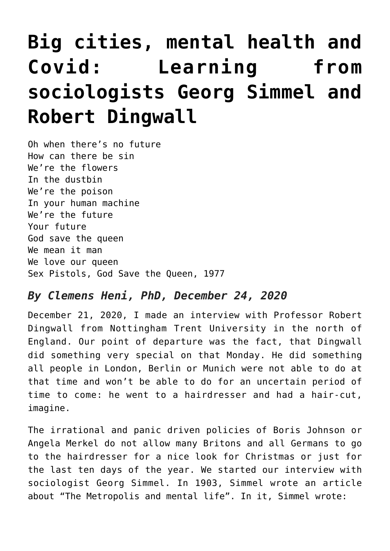## **[Big cities, mental health and](https://www.clemensheni.net/big-cities-mental-health-and-covid-learning-from-sociologists-georg-simmel-and-robert-dingwall/) [Covid: Learning from](https://www.clemensheni.net/big-cities-mental-health-and-covid-learning-from-sociologists-georg-simmel-and-robert-dingwall/) [sociologists Georg Simmel and](https://www.clemensheni.net/big-cities-mental-health-and-covid-learning-from-sociologists-georg-simmel-and-robert-dingwall/) [Robert Dingwall](https://www.clemensheni.net/big-cities-mental-health-and-covid-learning-from-sociologists-georg-simmel-and-robert-dingwall/)**

Oh when there's no future How can there be sin We're the flowers In the dustbin We're the poison In your human machine We're the future Your future God save the queen We mean it man We love our queen [Sex Pistols, God Save the Queen](https://www.youtube.com/watch?v=yqrAPOZxgzU), 1977

## *By Clemens Heni, PhD, December 24, 2020*

December 21, 2020, I made an interview with Professor Robert Dingwall from Nottingham Trent University in the north of England. Our point of departure was the fact, that Dingwall did something very special on that Monday. He did something all people in London, Berlin or Munich were not able to do at that time and won't be able to do for an uncertain period of time to come: he went to a hairdresser and had a hair-cut, imagine.

The irrational and panic driven policies of Boris Johnson or Angela Merkel do not allow many Britons and all Germans to go to the hairdresser for a nice look for Christmas or just for the last ten days of the year. We started our interview with sociologist Georg Simmel. In 1903, Simmel wrote an article about ["The Metropolis and mental life](https://www.blackwellpublishing.com/content/bpl_images/content_store/sample_chapter/0631225137/bridge.pdf)". In it, Simmel wrote: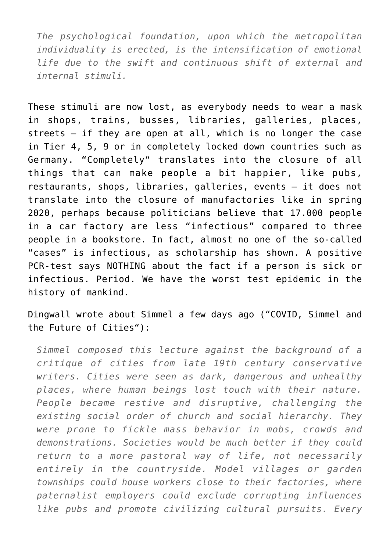*The psychological foundation, upon which the metropolitan individuality is erected, is the intensification of emotional life due to the swift and continuous shift of external and internal stimuli.*

These stimuli are now lost, as everybody needs to wear a mask in shops, trains, busses, libraries, galleries, places, streets – if they are open at all, which is no longer the case in Tier 4, 5, 9 or in completely locked down countries such as Germany. "Completely" translates into the closure of all things that can make people a bit happier, like pubs, restaurants, shops, libraries, galleries, events – it does not translate into the closure of manufactories like in spring 2020, perhaps because politicians believe that 17.000 people in a car factory are less "infectious" compared to three people in a bookstore. In fact, almost no one of the so-called "cases" is infectious, as scholarship has shown. A positive PCR-test says NOTHING about the fact if a person is sick or infectious. Period. We have the worst test epidemic in the history of mankind.

Dingwall wrote about Simmel a few days ago ("[COVID, Simmel and](https://www.dingwallenterprises.co.uk/covid-simmel-and-the-future-of-cities/) [the Future of Cities](https://www.dingwallenterprises.co.uk/covid-simmel-and-the-future-of-cities/)"):

*Simmel composed this lecture against the background of a critique of cities from late 19th century conservative writers. Cities were seen as dark, dangerous and unhealthy places, where human beings lost touch with their nature. People became restive and disruptive, challenging the existing social order of church and social hierarchy. They were prone to fickle mass behavior in mobs, crowds and demonstrations. Societies would be much better if they could return to a more pastoral way of life, not necessarily entirely in the countryside. Model villages or garden townships could house workers close to their factories, where paternalist employers could exclude corrupting influences like pubs and promote civilizing cultural pursuits. Every*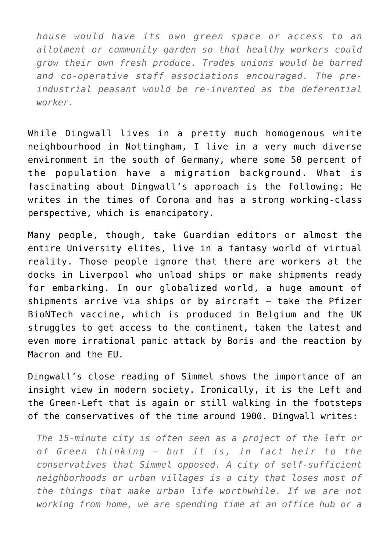*house would have its own green space or access to an allotment or community garden so that healthy workers could grow their own fresh produce. Trades unions would be barred and co-operative staff associations encouraged. The preindustrial peasant would be re-invented as the deferential worker.*

While Dingwall lives in a pretty much homogenous white neighbourhood in Nottingham, I live in a very much diverse environment in the south of Germany, where some 50 percent of the population have a migration background. What is fascinating about Dingwall's approach is the following: He writes in the times of Corona and has a strong working-class perspective, which is emancipatory.

Many people, though, take Guardian editors or almost the entire University elites, live in a fantasy world of virtual reality. Those people ignore that there are workers at the docks in Liverpool who unload ships or make shipments ready for embarking. In our globalized world, a huge amount of shipments arrive via ships or by aircraft – take the Pfizer BioNTech vaccine, which is produced in Belgium and the UK struggles to get access to the continent, taken the latest and even more irrational panic attack by Boris and the reaction by Macron and the EU.

Dingwall's close reading of Simmel shows the importance of an insight view in modern society. Ironically, it is the Left and the Green-Left that is again or still walking in the footsteps of the conservatives of the time around 1900. Dingwall writes:

*The 15-minute city is often seen as a project of the left or of Green thinking – but it is, in fact heir to the conservatives that Simmel opposed. A city of self-sufficient neighborhoods or urban villages is a city that loses most of the things that make urban life worthwhile. If we are not working from home, we are spending time at an office hub or a*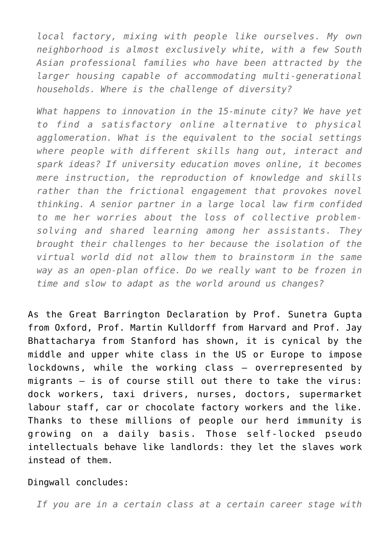*local factory, mixing with people like ourselves. My own neighborhood is almost exclusively white, with a few South Asian professional families who have been attracted by the larger housing capable of accommodating multi-generational households. Where is the challenge of diversity?*

*What happens to innovation in the 15-minute city? We have yet to find a satisfactory online alternative to physical agglomeration. What is the equivalent to the social settings where people with different skills hang out, interact and spark ideas? If university education moves online, it becomes mere instruction, the reproduction of knowledge and skills rather than the frictional engagement that provokes novel thinking. A senior partner in a large local law firm confided to me her worries about the loss of collective problemsolving and shared learning among her assistants. They brought their challenges to her because the isolation of the virtual world did not allow them to brainstorm in the same way as an open-plan office. Do we really want to be frozen in time and slow to adapt as the world around us changes?*

As the [Great Barrington Declaration](https://gbdeclaration.org/) by Prof. Sunetra Gupta from Oxford, Prof. Martin Kulldorff from Harvard and Prof. Jay Bhattacharya from Stanford has shown, it is cynical by the middle and upper white class in the US or Europe to impose lockdowns, while the working class – overrepresented by migrants – is of course still out there to take the virus: dock workers, taxi drivers, nurses, doctors, supermarket labour staff, car or chocolate factory workers and the like. Thanks to these millions of people our herd immunity is growing on a daily basis. Those self-locked pseudo intellectuals behave like landlords: they let the slaves work instead of them.

Dingwall concludes:

*If you are in a certain class at a certain career stage with*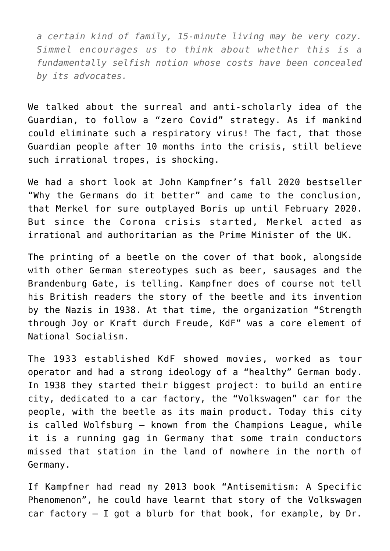*a certain kind of family, 15-minute living may be very cozy. Simmel encourages us to think about whether this is a fundamentally selfish notion whose costs have been concealed by its advocates.*

We talked about the surreal and anti-scholarly idea of the Guardian, to follow a "zero Covid" strategy. As if mankind could eliminate such a respiratory virus! The fact, that those Guardian people after 10 months into the crisis, still believe such irrational tropes, is shocking.

We had a short look at John Kampfner's fall 2020 bestseller "Why the Germans do it better" and came to the conclusion, that Merkel for sure outplayed Boris up until February 2020. But since the Corona crisis started, Merkel acted as irrational and authoritarian as the Prime Minister of the UK.

The printing of a beetle on the cover of that book, alongside with other German stereotypes such as beer, sausages and the Brandenburg Gate, is telling. Kampfner does of course not tell his British readers the story of the beetle and its invention by the Nazis in 1938. At that time, the organization "Strength through Joy or Kraft durch Freude, KdF" was a core element of National Socialism.

The 1933 established KdF showed movies, worked as tour operator and had a strong ideology of a "healthy" German body. In 1938 they started their biggest project: to build an entire city, dedicated to a car factory, the "Volkswagen" car for the people, with the beetle as its main product. Today this city is called Wolfsburg – known from the Champions League, while it is a running gag in Germany that some train conductors missed that station in the land of nowhere in the north of Germany.

If Kampfner had read my 2013 book "[Antisemitism: A Specific](https://www.editioncritic.de/allgemein/antisemitism-a-specific-phenomenon-by-dr-clemens-heni/) [Phenomenon"](https://www.editioncritic.de/allgemein/antisemitism-a-specific-phenomenon-by-dr-clemens-heni/), he could have learnt that story of the Volkswagen car factory  $-$  I got a blurb for that book, for example, by Dr.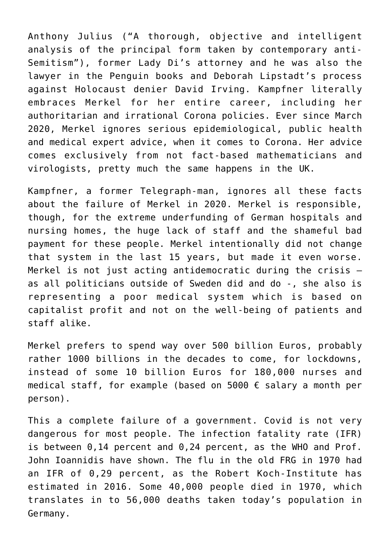Anthony Julius ("A thorough, objective and intelligent analysis of the principal form taken by contemporary anti-Semitism"), former Lady Di's attorney and he was also the lawyer in the Penguin books and Deborah Lipstadt's process against Holocaust denier David Irving. Kampfner literally embraces Merkel for her entire career, including her authoritarian and irrational Corona policies. Ever since March 2020, Merkel ignores serious epidemiological, public health and medical expert advice, when it comes to Corona. Her advice comes exclusively from not fact-based mathematicians and virologists, pretty much the same happens in the UK.

Kampfner, a former Telegraph-man, ignores all these facts about the failure of Merkel in 2020. Merkel is responsible, though, for the extreme underfunding of German hospitals and nursing homes, the huge lack of staff and the shameful bad payment for these people. Merkel intentionally did not change that system in the last 15 years, but made it even worse. Merkel is not just acting antidemocratic during the crisis – as all politicians outside of Sweden did and do -, she also is representing a poor medical system which is based on capitalist profit and not on the well-being of patients and staff alike.

Merkel prefers to spend way over 500 billion Euros, probably rather 1000 billions in the decades to come, for lockdowns, instead of some 10 billion Euros for 180,000 nurses and medical staff, for example (based on 5000 € salary a month per person).

This a complete failure of a government. Covid is not very dangerous for most people. The infection fatality rate (IFR) is between 0,14 percent and 0,24 percent, as the WHO and Prof. John Ioannidis have shown. The flu in the old FRG in 1970 had an IFR of 0,29 percent, as the Robert Koch-Institute has estimated in 2016. Some 40,000 people died in 1970, which translates in to 56,000 deaths taken today's population in Germany.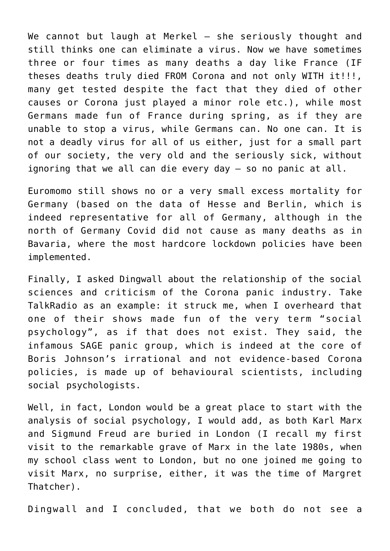We cannot but laugh at Merkel – she seriously thought and still thinks one can eliminate a virus. Now we have sometimes three or four times as many deaths a day like France (IF theses deaths truly died FROM Corona and not only WITH it!!!, many get tested despite the fact that they died of other causes or Corona just played a minor role etc.), while most Germans made fun of France during spring, as if they are unable to stop a virus, while Germans can. No one can. It is not a deadly virus for all of us either, just for a small part of our society, the very old and the seriously sick, without ignoring that we all can die every day – so no panic at all.

Euromomo still shows no or a very small excess mortality for Germany (based on the data of Hesse and Berlin, which is indeed representative for all of Germany, although in the north of Germany Covid did not cause as many deaths as in Bavaria, where the most hardcore lockdown policies have been implemented.

Finally, I asked Dingwall about the relationship of the social sciences and criticism of the Corona panic industry. Take TalkRadio as an example: it struck me, when I overheard that one of their shows made fun of the very term "social psychology", as if that does not exist. They said, the infamous SAGE panic group, which is indeed at the core of Boris Johnson's irrational and not evidence-based Corona policies, is made up of behavioural scientists, including social psychologists.

Well, in fact, London would be a great place to start with the analysis of social psychology, I would add, as both Karl Marx and Sigmund Freud are buried in London (I recall my first visit to the remarkable grave of Marx in the late 1980s, when my school class went to London, but no one joined me going to visit Marx, no surprise, either, it was the time of Margret Thatcher).

Dingwall and I concluded, that we both do not see a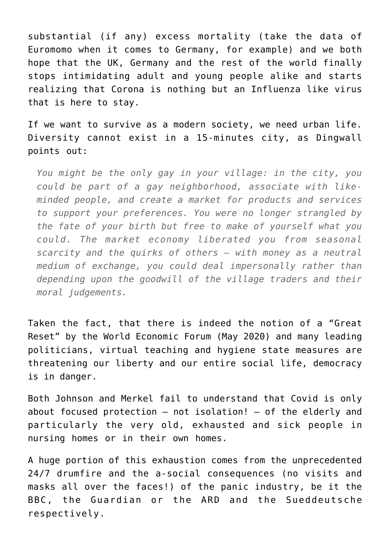substantial (if any) excess mortality (take the data of Euromomo when it comes to Germany, for example) and we both hope that the UK, Germany and the rest of the world finally stops intimidating adult and young people alike and starts realizing that Corona is nothing but an Influenza like virus that is here to stay.

If we want to survive as a modern society, we need urban life. Diversity cannot exist in a 15-minutes city, as Dingwall points out:

*You might be the only gay in your village: in the city, you could be part of a gay neighborhood, associate with likeminded people, and create a market for products and services to support your preferences. You were no longer strangled by the fate of your birth but free to make of yourself what you could. The market economy liberated you from seasonal scarcity and the quirks of others – with money as a neutral medium of exchange, you could deal impersonally rather than depending upon the goodwill of the village traders and their moral judgements.*

Taken the fact, that there is indeed the notion of a "[Great](https://www.weforum.org/agenda/2020/06/now-is-the-time-for-a-great-reset/) [Reset"](https://www.weforum.org/agenda/2020/06/now-is-the-time-for-a-great-reset/) by the World Economic Forum (May 2020) and many leading politicians, virtual teaching and hygiene state measures are threatening our liberty and our entire social life, democracy is in danger.

Both Johnson and Merkel fail to understand that Covid is only about focused protection  $-$  not isolation!  $-$  of the elderly and particularly the very old, exhausted and sick people in nursing homes or in their own homes.

A huge portion of this exhaustion comes from the unprecedented 24/7 drumfire and the a-social consequences (no visits and masks all over the faces!) of the panic industry, be it the BBC, the Guardian or the ARD and the Sueddeutsche respectively.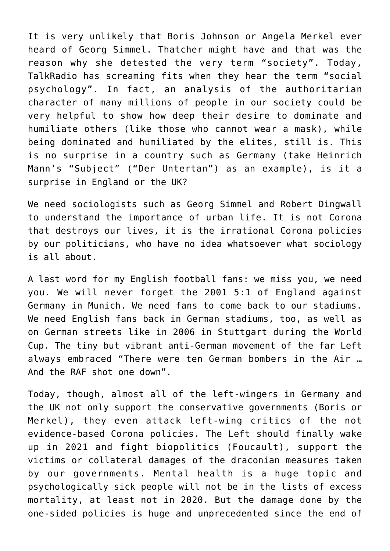It is very unlikely that Boris Johnson or Angela Merkel ever heard of Georg Simmel. Thatcher might have and that was the reason why she detested the very term "society". Today, TalkRadio has screaming fits when they hear the term "social psychology". In fact, an analysis of the authoritarian character of many millions of people in our society could be very helpful to show how deep their desire to dominate and humiliate others (like those who cannot wear a mask), while being dominated and humiliated by the elites, still is. This is no surprise in a country such as Germany (take Heinrich Mann's "Subject" ("Der Untertan") as an example), is it a surprise in England or the UK?

We need sociologists such as Georg Simmel and Robert Dingwall to understand the importance of urban life. It is not Corona that destroys our lives, it is the irrational Corona policies by our politicians, who have no idea whatsoever what sociology is all about.

A last word for my English football fans: we miss you, we need you. We will never forget the 2001 5:1 of England against Germany in Munich. We need fans to come back to our stadiums. We need English fans back in German stadiums, too, [as well as](https://www.youtube.com/watch?v=_1M730cYkic) [on German streets like in 2006 in Stuttgart during the World](https://www.youtube.com/watch?v=_1M730cYkic) [Cup](https://www.youtube.com/watch?v=_1M730cYkic). The tiny but vibrant anti-German movement of the far Left always embraced "There were ten German bombers in the Air … And the RAF shot one down".

Today, though, almost all of the left-wingers in Germany and the UK not only support the conservative governments (Boris or Merkel), they even attack left-wing critics of the not evidence-based Corona policies. The Left should finally wake up in 2021 and fight biopolitics (Foucault), support the victims or collateral damages of the draconian measures taken by our governments. Mental health is a huge topic and psychologically sick people will not be in the lists of excess mortality, at least not in 2020. But the damage done by the one-sided policies is huge and unprecedented since the end of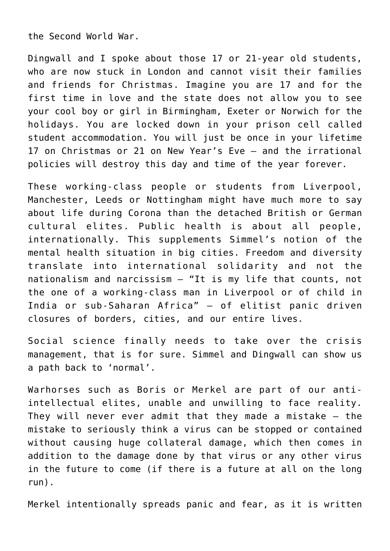the Second World War.

Dingwall and I spoke about those 17 or 21-year old students, who are now stuck in London and cannot visit their families and friends for Christmas. Imagine you are 17 and for the first time in love and the state does not allow you to see your cool boy or girl in Birmingham, Exeter or Norwich for the holidays. You are locked down in your prison cell called student accommodation. You will just be once in your lifetime 17 on Christmas or 21 on New Year's Eve – and the irrational policies will destroy this day and time of the year forever.

These working-class people or students from Liverpool, Manchester, Leeds or Nottingham might have much more to say about life during Corona than the detached British or German cultural elites. Public health is about all people, internationally. This supplements Simmel's notion of the mental health situation in big cities. Freedom and diversity translate into international solidarity and not the nationalism and narcissism – "It is my life that counts, not the one of a working-class man in Liverpool or of child in India or sub-Saharan Africa" – of elitist panic driven closures of borders, cities, and our entire lives.

Social science finally needs to take over the crisis management, that is for sure. Simmel and Dingwall can show us a path back to 'normal'.

Warhorses such as Boris or Merkel are part of our antiintellectual elites, unable and unwilling to face reality. They will never ever admit that they made a mistake – the mistake to seriously think a virus can be stopped or contained without causing huge collateral damage, which then comes in addition to the damage done by that virus or any other virus in the future to come (if there is a future at all on the long run).

Merkel intentionally spreads panic and fear, as it is written